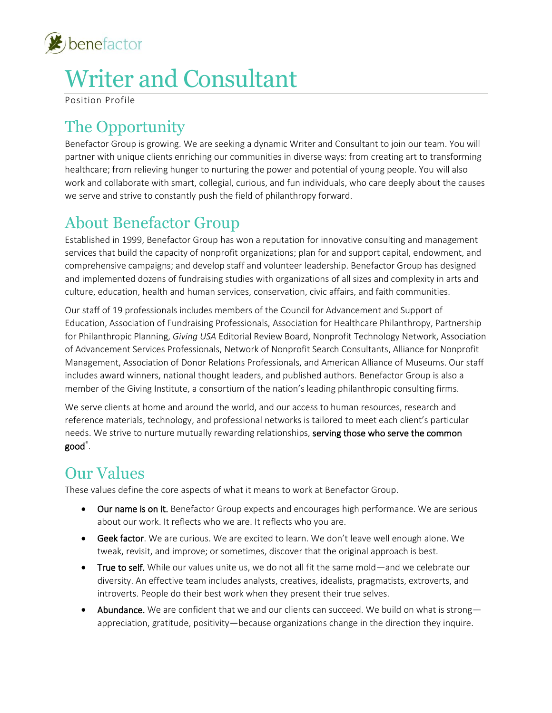

# Writer and Consultant

Position Profile

# The Opportunity

Benefactor Group is growing. We are seeking a dynamic Writer and Consultant to join our team. You will partner with unique clients enriching our communities in diverse ways: from creating art to transforming healthcare; from relieving hunger to nurturing the power and potential of young people. You will also work and collaborate with smart, collegial, curious, and fun individuals, who care deeply about the causes we serve and strive to constantly push the field of philanthropy forward.

### About Benefactor Group

Established in 1999, Benefactor Group has won a reputation for innovative consulting and management services that build the capacity of nonprofit organizations; plan for and support capital, endowment, and comprehensive campaigns; and develop staff and volunteer leadership. Benefactor Group has designed and implemented dozens of fundraising studies with organizations of all sizes and complexity in arts and culture, education, health and human services, conservation, civic affairs, and faith communities.

Our staff of 19 professionals includes members of the Council for Advancement and Support of Education, Association of Fundraising Professionals, Association for Healthcare Philanthropy, Partnership for Philanthropic Planning, *Giving USA* Editorial Review Board, Nonprofit Technology Network, Association of Advancement Services Professionals, Network of Nonprofit Search Consultants, Alliance for Nonprofit Management, Association of Donor Relations Professionals, and American Alliance of Museums. Our staff includes award winners, national thought leaders, and published authors. Benefactor Group is also a member of the Giving Institute, a consortium of the nation's leading philanthropic consulting firms.

We serve clients at home and around the world, and our access to human resources, research and reference materials, technology, and professional networks is tailored to meet each client's particular needs. We strive to nurture mutually rewarding relationships, serving those who serve the common good® .

### Our Values

These values define the core aspects of what it means to work at Benefactor Group.

- Our name is on it. Benefactor Group expects and encourages high performance. We are serious about our work. It reflects who we are. It reflects who you are.
- Geek factor. We are curious. We are excited to learn. We don't leave well enough alone. We tweak, revisit, and improve; or sometimes, discover that the original approach is best.
- True to self. While our values unite us, we do not all fit the same mold—and we celebrate our diversity. An effective team includes analysts, creatives, idealists, pragmatists, extroverts, and introverts. People do their best work when they present their true selves.
- Abundance. We are confident that we and our clients can succeed. We build on what is strong appreciation, gratitude, positivity—because organizations change in the direction they inquire.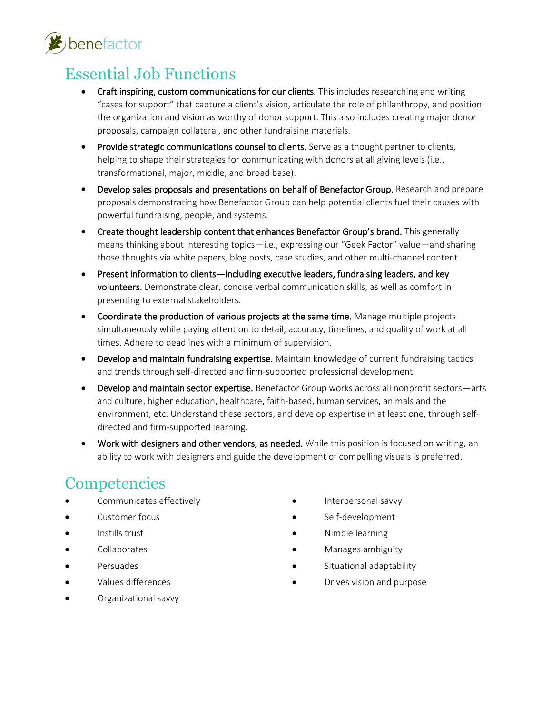

### Essential Job Functions

- Craft inspiring, custom communications for our clients. This includes researching and writing "cases for support" that capture a client's vision, articulate the role of philanthropy, and position the organization and vision as worthy of donor support. This also includes creating major donor proposals, campaign collateral, and other fundraising materials.
- Provide strategic communications counsel to clients. Serve as a thought partner to clients, helping to shape their strategies for communicating with donors at all giving levels (i.e., transformational, major, middle, and broad base).
- Develop sales proposals and presentations on behalf of Benefactor Group. Research and prepare proposals demonstrating how Benefactor Group can help potential clients fuel their causes with powerful fundraising, people, and systems.
- Create thought leadership content that enhances Benefactor Group's brand. This generally means thinking about interesting topics—i.e., expressing our "Geek Factor" value—and sharing those thoughts via white papers, blog posts, case studies, and other multi-channel content.
- Present information to clients—including executive leaders, fundraising leaders, and key volunteers. Demonstrate clear, concise verbal communication skills, as well as comfort in presenting to external stakeholders.
- Coordinate the production of various projects at the same time. Manage multiple projects simultaneously while paying attention to detail, accuracy, timelines, and quality of work at all times. Adhere to deadlines with a minimum of supervision.
- Develop and maintain fundraising expertise. Maintain knowledge of current fundraising tactics and trends through self-directed and firm-supported professional development.
- Develop and maintain sector expertise. Benefactor Group works across all nonprofit sectors—arts and culture, higher education, healthcare, faith-based, human services, animals and the environment, etc. Understand these sectors, and develop expertise in at least one, through selfdirected and firm-supported learning.
- Work with designers and other vendors, as needed. While this position is focused on writing, an ability to work with designers and guide the development of compelling visuals is preferred.

### **Competencies**

- Communicates effectively
- Customer focus
- Instills trust
- Collaborates
- Persuades
- Values differences
- Organizational savvy
- Interpersonal savvy
- Self-development
- Nimble learning
- Manages ambiguity
- Situational adaptability
- Drives vision and purpose